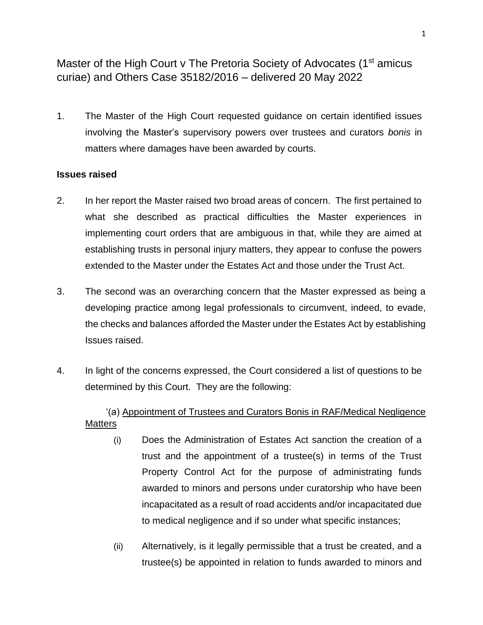Master of the High Court v The Pretoria Society of Advocates (1<sup>st</sup> amicus curiae) and Others Case 35182/2016 – delivered 20 May 2022

1. The Master of the High Court requested guidance on certain identified issues involving the Master's supervisory powers over trustees and curators *bonis* in matters where damages have been awarded by courts.

#### **Issues raised**

- 2. In her report the Master raised two broad areas of concern. The first pertained to what she described as practical difficulties the Master experiences in implementing court orders that are ambiguous in that, while they are aimed at establishing trusts in personal injury matters, they appear to confuse the powers extended to the Master under the Estates Act and those under the Trust Act.
- 3. The second was an overarching concern that the Master expressed as being a developing practice among legal professionals to circumvent, indeed, to evade, the checks and balances afforded the Master under the Estates Act by establishing Issues raised.
- 4. In light of the concerns expressed, the Court considered a list of questions to be determined by this Court. They are the following:

## '(a) Appointment of Trustees and Curators Bonis in RAF/Medical Negligence **Matters**

- (i) Does the Administration of Estates Act sanction the creation of a trust and the appointment of a trustee(s) in terms of the Trust Property Control Act for the purpose of administrating funds awarded to minors and persons under curatorship who have been incapacitated as a result of road accidents and/or incapacitated due to medical negligence and if so under what specific instances;
- (ii) Alternatively, is it legally permissible that a trust be created, and a trustee(s) be appointed in relation to funds awarded to minors and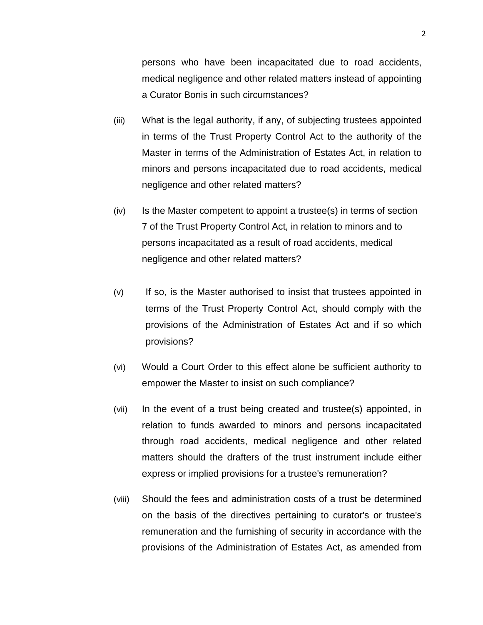persons who have been incapacitated due to road accidents, medical negligence and other related matters instead of appointing a Curator Bonis in such circumstances?

- (iii) What is the legal authority, if any, of subjecting trustees appointed in terms of the Trust Property Control Act to the authority of the Master in terms of the Administration of Estates Act, in relation to minors and persons incapacitated due to road accidents, medical negligence and other related matters?
- $(iv)$  Is the Master competent to appoint a trustee(s) in terms of section 7 of the Trust Property Control Act, in relation to minors and to persons incapacitated as a result of road accidents, medical negligence and other related matters?
- (v) If so, is the Master authorised to insist that trustees appointed in terms of the Trust Property Control Act, should comply with the provisions of the Administration of Estates Act and if so which provisions?
- (vi) Would a Court Order to this effect alone be sufficient authority to empower the Master to insist on such compliance?
- (vii) In the event of a trust being created and trustee(s) appointed, in relation to funds awarded to minors and persons incapacitated through road accidents, medical negligence and other related matters should the drafters of the trust instrument include either express or implied provisions for a trustee's remuneration?
- (viii) Should the fees and administration costs of a trust be determined on the basis of the directives pertaining to curator's or trustee's remuneration and the furnishing of security in accordance with the provisions of the Administration of Estates Act, as amended from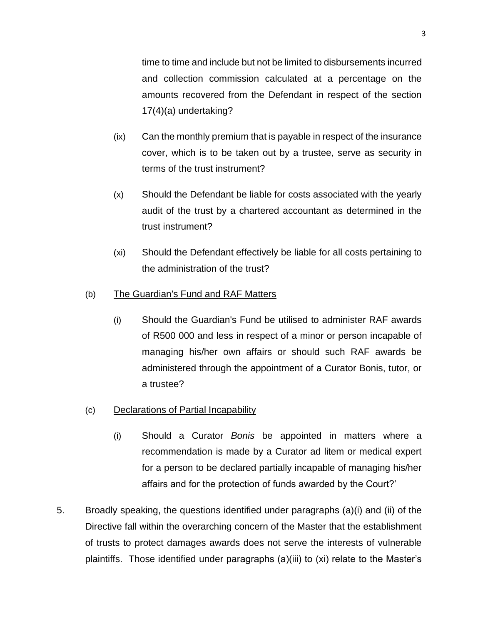time to time and include but not be limited to disbursements incurred and collection commission calculated at a percentage on the amounts recovered from the Defendant in respect of the section 17(4)(a) undertaking?

- (ix) Can the monthly premium that is payable in respect of the insurance cover, which is to be taken out by a trustee, serve as security in terms of the trust instrument?
- (x) Should the Defendant be liable for costs associated with the yearly audit of the trust by a chartered accountant as determined in the trust instrument?
- (xi) Should the Defendant effectively be liable for all costs pertaining to the administration of the trust?

## (b) The Guardian's Fund and RAF Matters

(i) Should the Guardian's Fund be utilised to administer RAF awards of R500 000 and less in respect of a minor or person incapable of managing his/her own affairs or should such RAF awards be administered through the appointment of a Curator Bonis, tutor, or a trustee?

## (c) Declarations of Partial Incapability

- (i) Should a Curator *Bonis* be appointed in matters where a recommendation is made by a Curator ad litem or medical expert for a person to be declared partially incapable of managing his/her affairs and for the protection of funds awarded by the Court?'
- 5. Broadly speaking, the questions identified under paragraphs (a)(i) and (ii) of the Directive fall within the overarching concern of the Master that the establishment of trusts to protect damages awards does not serve the interests of vulnerable plaintiffs. Those identified under paragraphs (a)(iii) to (xi) relate to the Master's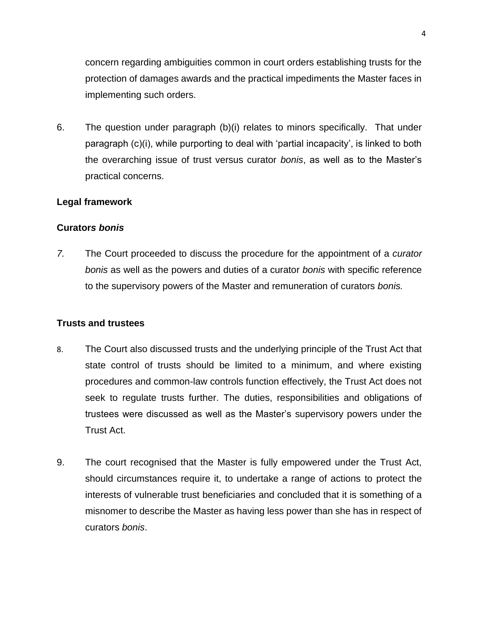concern regarding ambiguities common in court orders establishing trusts for the protection of damages awards and the practical impediments the Master faces in implementing such orders.

6. The question under paragraph (b)(i) relates to minors specifically. That under paragraph (c)(i), while purporting to deal with 'partial incapacity', is linked to both the overarching issue of trust versus curator *bonis*, as well as to the Master's practical concerns.

#### **Legal framework**

#### **Curator***s bonis*

*7.* The Court proceeded to discuss the procedure for the appointment of a *curator bonis* as well as the powers and duties of a curator *bonis* with specific reference to the supervisory powers of the Master and remuneration of curators *bonis.*

#### **Trusts and trustees**

- 8. The Court also discussed trusts and the underlying principle of the Trust Act that state control of trusts should be limited to a minimum, and where existing procedures and common-law controls function effectively, the Trust Act does not seek to regulate trusts further. The duties, responsibilities and obligations of trustees were discussed as well as the Master's supervisory powers under the Trust Act.
- 9. The court recognised that the Master is fully empowered under the Trust Act, should circumstances require it, to undertake a range of actions to protect the interests of vulnerable trust beneficiaries and concluded that it is something of a misnomer to describe the Master as having less power than she has in respect of curators *bonis*.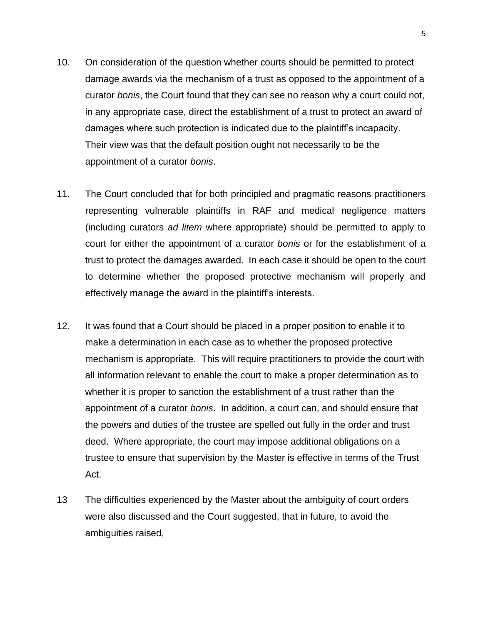- 10. On consideration of the question whether courts should be permitted to protect damage awards via the mechanism of a trust as opposed to the appointment of a curator *bonis*, the Court found that they can see no reason why a court could not, in any appropriate case, direct the establishment of a trust to protect an award of damages where such protection is indicated due to the plaintiff's incapacity. Their view was that the default position ought not necessarily to be the appointment of a curator *bonis*.
- 11. The Court concluded that for both principled and pragmatic reasons practitioners representing vulnerable plaintiffs in RAF and medical negligence matters (including curators *ad litem* where appropriate) should be permitted to apply to court for either the appointment of a curator *bonis* or for the establishment of a trust to protect the damages awarded. In each case it should be open to the court to determine whether the proposed protective mechanism will properly and effectively manage the award in the plaintiff's interests.
- 12. It was found that a Court should be placed in a proper position to enable it to make a determination in each case as to whether the proposed protective mechanism is appropriate. This will require practitioners to provide the court with all information relevant to enable the court to make a proper determination as to whether it is proper to sanction the establishment of a trust rather than the appointment of a curator *bonis*. In addition, a court can, and should ensure that the powers and duties of the trustee are spelled out fully in the order and trust deed. Where appropriate, the court may impose additional obligations on a trustee to ensure that supervision by the Master is effective in terms of the Trust Act.
- 13 The difficulties experienced by the Master about the ambiguity of court orders were also discussed and the Court suggested, that in future, to avoid the ambiguities raised,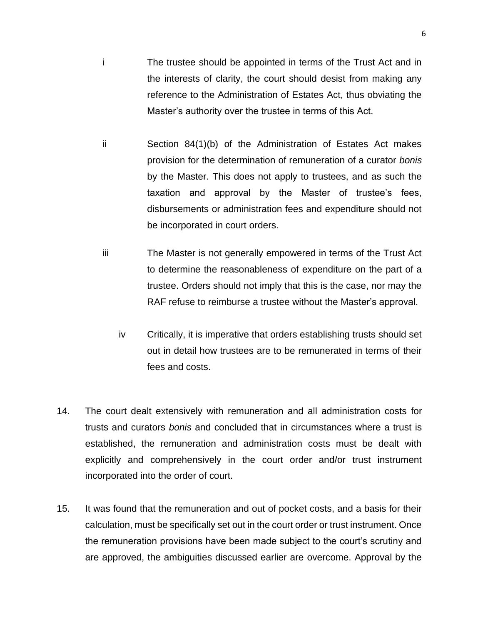- i The trustee should be appointed in terms of the Trust Act and in the interests of clarity, the court should desist from making any reference to the Administration of Estates Act, thus obviating the Master's authority over the trustee in terms of this Act.
- ii Section 84(1)(b) of the Administration of Estates Act makes provision for the determination of remuneration of a curator *bonis* by the Master. This does not apply to trustees, and as such the taxation and approval by the Master of trustee's fees, disbursements or administration fees and expenditure should not be incorporated in court orders.
- iii The Master is not generally empowered in terms of the Trust Act to determine the reasonableness of expenditure on the part of a trustee. Orders should not imply that this is the case, nor may the RAF refuse to reimburse a trustee without the Master's approval.
	- iv Critically, it is imperative that orders establishing trusts should set out in detail how trustees are to be remunerated in terms of their fees and costs.
- 14. The court dealt extensively with remuneration and all administration costs for trusts and curators *bonis* and concluded that in circumstances where a trust is established, the remuneration and administration costs must be dealt with explicitly and comprehensively in the court order and/or trust instrument incorporated into the order of court.
- 15. It was found that the remuneration and out of pocket costs, and a basis for their calculation, must be specifically set out in the court order or trust instrument. Once the remuneration provisions have been made subject to the court's scrutiny and are approved, the ambiguities discussed earlier are overcome. Approval by the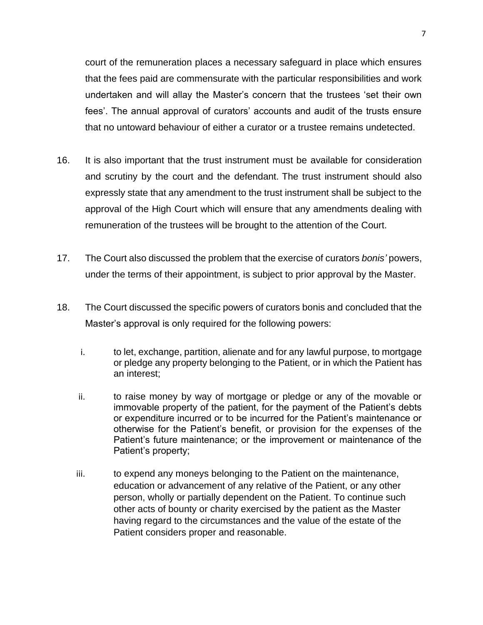court of the remuneration places a necessary safeguard in place which ensures that the fees paid are commensurate with the particular responsibilities and work undertaken and will allay the Master's concern that the trustees 'set their own fees'. The annual approval of curators' accounts and audit of the trusts ensure that no untoward behaviour of either a curator or a trustee remains undetected.

- 16. It is also important that the trust instrument must be available for consideration and scrutiny by the court and the defendant. The trust instrument should also expressly state that any amendment to the trust instrument shall be subject to the approval of the High Court which will ensure that any amendments dealing with remuneration of the trustees will be brought to the attention of the Court.
- 17. The Court also discussed the problem that the exercise of curators *bonis'* powers, under the terms of their appointment, is subject to prior approval by the Master.
- 18. The Court discussed the specific powers of curators bonis and concluded that the Master's approval is only required for the following powers:
	- i. to let, exchange, partition, alienate and for any lawful purpose, to mortgage or pledge any property belonging to the Patient, or in which the Patient has an interest;
	- ii. to raise money by way of mortgage or pledge or any of the movable or immovable property of the patient, for the payment of the Patient's debts or expenditure incurred or to be incurred for the Patient's maintenance or otherwise for the Patient's benefit, or provision for the expenses of the Patient's future maintenance; or the improvement or maintenance of the Patient's property;
	- iii. to expend any moneys belonging to the Patient on the maintenance, education or advancement of any relative of the Patient, or any other person, wholly or partially dependent on the Patient. To continue such other acts of bounty or charity exercised by the patient as the Master having regard to the circumstances and the value of the estate of the Patient considers proper and reasonable.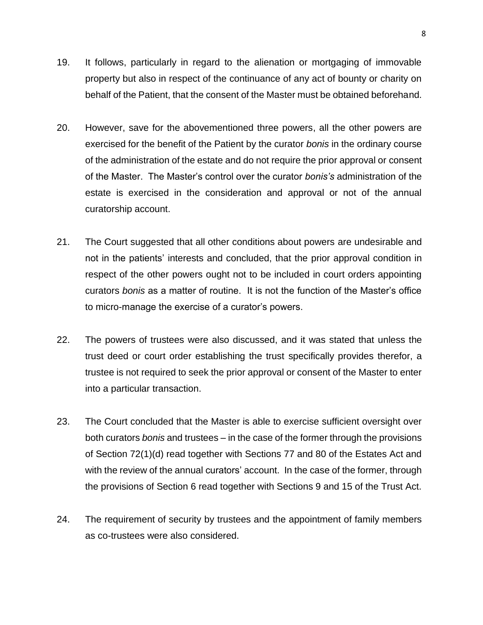- 19. It follows, particularly in regard to the alienation or mortgaging of immovable property but also in respect of the continuance of any act of bounty or charity on behalf of the Patient, that the consent of the Master must be obtained beforehand.
- 20. However, save for the abovementioned three powers, all the other powers are exercised for the benefit of the Patient by the curator *bonis* in the ordinary course of the administration of the estate and do not require the prior approval or consent of the Master. The Master's control over the curator *bonis's* administration of the estate is exercised in the consideration and approval or not of the annual curatorship account.
- 21. The Court suggested that all other conditions about powers are undesirable and not in the patients' interests and concluded, that the prior approval condition in respect of the other powers ought not to be included in court orders appointing curators *bonis* as a matter of routine. It is not the function of the Master's office to micro-manage the exercise of a curator's powers.
- 22. The powers of trustees were also discussed, and it was stated that unless the trust deed or court order establishing the trust specifically provides therefor, a trustee is not required to seek the prior approval or consent of the Master to enter into a particular transaction.
- 23. The Court concluded that the Master is able to exercise sufficient oversight over both curators *bonis* and trustees – in the case of the former through the provisions of Section 72(1)(d) read together with Sections 77 and 80 of the Estates Act and with the review of the annual curators' account. In the case of the former, through the provisions of Section 6 read together with Sections 9 and 15 of the Trust Act.
- 24. The requirement of security by trustees and the appointment of family members as co-trustees were also considered.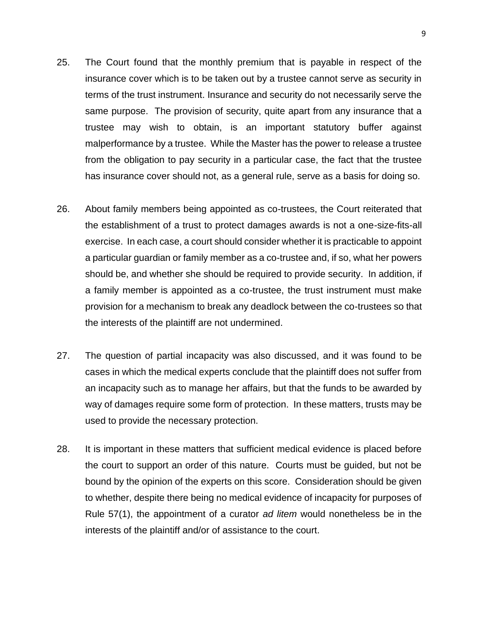- 25. The Court found that the monthly premium that is payable in respect of the insurance cover which is to be taken out by a trustee cannot serve as security in terms of the trust instrument. Insurance and security do not necessarily serve the same purpose. The provision of security, quite apart from any insurance that a trustee may wish to obtain, is an important statutory buffer against malperformance by a trustee. While the Master has the power to release a trustee from the obligation to pay security in a particular case, the fact that the trustee has insurance cover should not, as a general rule, serve as a basis for doing so.
- 26. About family members being appointed as co-trustees, the Court reiterated that the establishment of a trust to protect damages awards is not a one-size-fits-all exercise. In each case, a court should consider whether it is practicable to appoint a particular guardian or family member as a co-trustee and, if so, what her powers should be, and whether she should be required to provide security. In addition, if a family member is appointed as a co-trustee, the trust instrument must make provision for a mechanism to break any deadlock between the co-trustees so that the interests of the plaintiff are not undermined.
- 27. The question of partial incapacity was also discussed, and it was found to be cases in which the medical experts conclude that the plaintiff does not suffer from an incapacity such as to manage her affairs, but that the funds to be awarded by way of damages require some form of protection. In these matters, trusts may be used to provide the necessary protection.
- 28. It is important in these matters that sufficient medical evidence is placed before the court to support an order of this nature. Courts must be guided, but not be bound by the opinion of the experts on this score. Consideration should be given to whether, despite there being no medical evidence of incapacity for purposes of Rule 57(1), the appointment of a curator *ad litem* would nonetheless be in the interests of the plaintiff and/or of assistance to the court.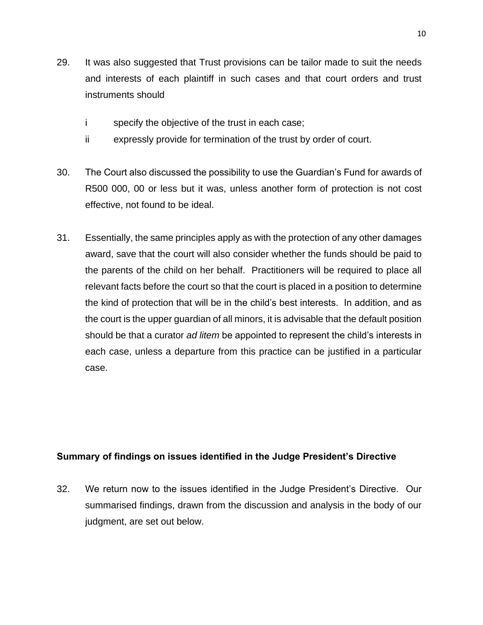- 29. It was also suggested that Trust provisions can be tailor made to suit the needs and interests of each plaintiff in such cases and that court orders and trust instruments should
	- i specify the objective of the trust in each case;
	- ii expressly provide for termination of the trust by order of court.
- 30. The Court also discussed the possibility to use the Guardian's Fund for awards of R500 000, 00 or less but it was, unless another form of protection is not cost effective, not found to be ideal.
- 31. Essentially, the same principles apply as with the protection of any other damages award, save that the court will also consider whether the funds should be paid to the parents of the child on her behalf. Practitioners will be required to place all relevant facts before the court so that the court is placed in a position to determine the kind of protection that will be in the child's best interests. In addition, and as the court is the upper guardian of all minors, it is advisable that the default position should be that a curator *ad litem* be appointed to represent the child's interests in each case, unless a departure from this practice can be justified in a particular case.

## **Summary of findings on issues identified in the Judge President's Directive**

32. We return now to the issues identified in the Judge President's Directive. Our summarised findings, drawn from the discussion and analysis in the body of our judgment, are set out below.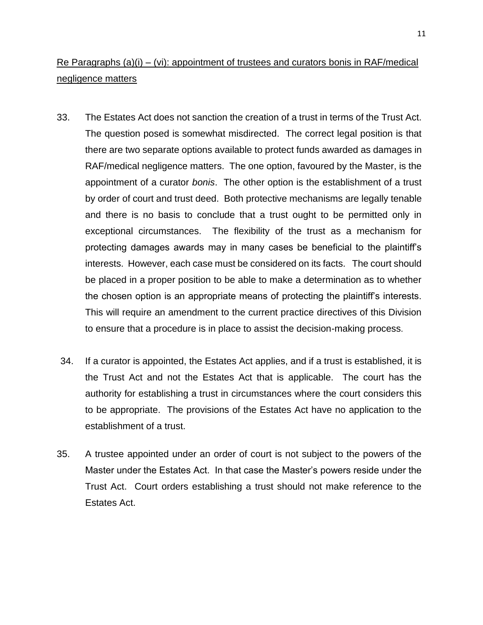# Re Paragraphs  $(a)(i) - (vi)$ : appointment of trustees and curators bonis in RAF/medical negligence matters

- 33. The Estates Act does not sanction the creation of a trust in terms of the Trust Act. The question posed is somewhat misdirected. The correct legal position is that there are two separate options available to protect funds awarded as damages in RAF/medical negligence matters. The one option, favoured by the Master, is the appointment of a curator *bonis*. The other option is the establishment of a trust by order of court and trust deed. Both protective mechanisms are legally tenable and there is no basis to conclude that a trust ought to be permitted only in exceptional circumstances. The flexibility of the trust as a mechanism for protecting damages awards may in many cases be beneficial to the plaintiff's interests. However, each case must be considered on its facts. The court should be placed in a proper position to be able to make a determination as to whether the chosen option is an appropriate means of protecting the plaintiff's interests. This will require an amendment to the current practice directives of this Division to ensure that a procedure is in place to assist the decision-making process.
- 34. If a curator is appointed, the Estates Act applies, and if a trust is established, it is the Trust Act and not the Estates Act that is applicable. The court has the authority for establishing a trust in circumstances where the court considers this to be appropriate. The provisions of the Estates Act have no application to the establishment of a trust.
- 35. A trustee appointed under an order of court is not subject to the powers of the Master under the Estates Act. In that case the Master's powers reside under the Trust Act. Court orders establishing a trust should not make reference to the Estates Act.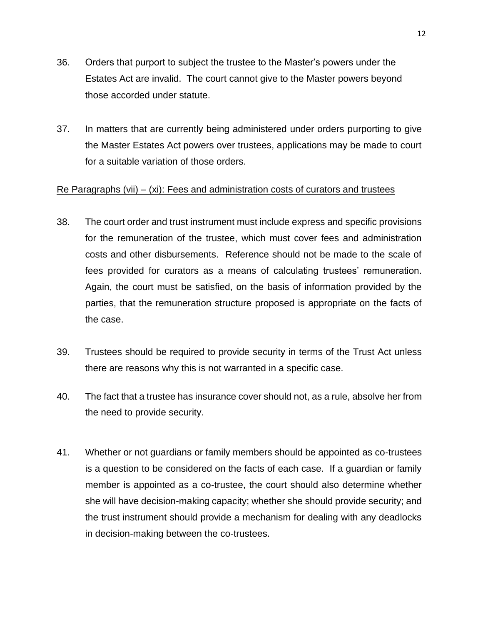- 36. Orders that purport to subject the trustee to the Master's powers under the Estates Act are invalid. The court cannot give to the Master powers beyond those accorded under statute.
- 37. In matters that are currently being administered under orders purporting to give the Master Estates Act powers over trustees, applications may be made to court for a suitable variation of those orders.

#### Re Paragraphs (vii) –  $(xi)$ : Fees and administration costs of curators and trustees

- 38. The court order and trust instrument must include express and specific provisions for the remuneration of the trustee, which must cover fees and administration costs and other disbursements. Reference should not be made to the scale of fees provided for curators as a means of calculating trustees' remuneration. Again, the court must be satisfied, on the basis of information provided by the parties, that the remuneration structure proposed is appropriate on the facts of the case.
- 39. Trustees should be required to provide security in terms of the Trust Act unless there are reasons why this is not warranted in a specific case.
- 40. The fact that a trustee has insurance cover should not, as a rule, absolve her from the need to provide security.
- 41. Whether or not guardians or family members should be appointed as co-trustees is a question to be considered on the facts of each case. If a guardian or family member is appointed as a co-trustee, the court should also determine whether she will have decision-making capacity; whether she should provide security; and the trust instrument should provide a mechanism for dealing with any deadlocks in decision-making between the co-trustees.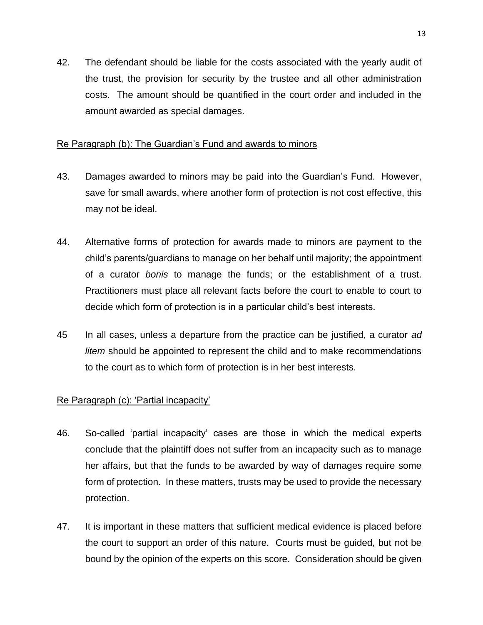42. The defendant should be liable for the costs associated with the yearly audit of the trust, the provision for security by the trustee and all other administration costs. The amount should be quantified in the court order and included in the amount awarded as special damages.

## Re Paragraph (b): The Guardian's Fund and awards to minors

- 43. Damages awarded to minors may be paid into the Guardian's Fund. However, save for small awards, where another form of protection is not cost effective, this may not be ideal.
- 44. Alternative forms of protection for awards made to minors are payment to the child's parents/guardians to manage on her behalf until majority; the appointment of a curator *bonis* to manage the funds; or the establishment of a trust. Practitioners must place all relevant facts before the court to enable to court to decide which form of protection is in a particular child's best interests.
- 45 In all cases, unless a departure from the practice can be justified, a curator *ad litem* should be appointed to represent the child and to make recommendations to the court as to which form of protection is in her best interests.

## Re Paragraph (c): 'Partial incapacity'

- 46. So-called 'partial incapacity' cases are those in which the medical experts conclude that the plaintiff does not suffer from an incapacity such as to manage her affairs, but that the funds to be awarded by way of damages require some form of protection. In these matters, trusts may be used to provide the necessary protection.
- 47. It is important in these matters that sufficient medical evidence is placed before the court to support an order of this nature. Courts must be guided, but not be bound by the opinion of the experts on this score. Consideration should be given